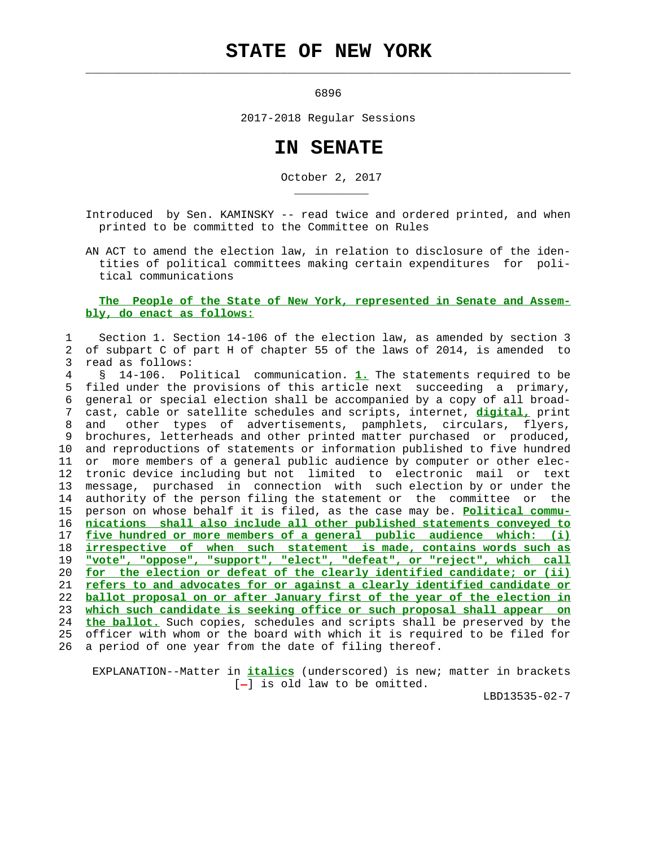## **STATE OF NEW YORK**

 $\mathcal{L}_\text{max} = \frac{1}{2} \sum_{i=1}^{n} \frac{1}{2} \sum_{i=1}^{n} \frac{1}{2} \sum_{i=1}^{n} \frac{1}{2} \sum_{i=1}^{n} \frac{1}{2} \sum_{i=1}^{n} \frac{1}{2} \sum_{i=1}^{n} \frac{1}{2} \sum_{i=1}^{n} \frac{1}{2} \sum_{i=1}^{n} \frac{1}{2} \sum_{i=1}^{n} \frac{1}{2} \sum_{i=1}^{n} \frac{1}{2} \sum_{i=1}^{n} \frac{1}{2} \sum_{i=1}^{n} \frac{1$ 

\_\_\_\_\_\_\_\_\_\_\_

<u>6896</u>

2017-2018 Regular Sessions

## **IN SENATE**

October 2, 2017

 Introduced by Sen. KAMINSKY -- read twice and ordered printed, and when printed to be committed to the Committee on Rules

 AN ACT to amend the election law, in relation to disclosure of the iden tities of political committees making certain expenditures for poli tical communications

## **The People of the State of New York, represented in Senate and Assem bly, do enact as follows:**

## 1 Section 1. Section 14-106 of the election law, as amended by section 3 2 of subpart C of part H of chapter 55 of the laws of 2014, is amended to 3 read as follows: 4 § 14-106. Political communication. **1.** The statements required to be

 5 filed under the provisions of this article next succeeding a primary, 6 general or special election shall be accompanied by a copy of all broad- 7 cast, cable or satellite schedules and scripts, internet, **digital,** print 8 and other types of advertisements, pamphlets, circulars, flyers, 9 brochures, letterheads and other printed matter purchased or produced, 10 and reproductions of statements or information published to five hundred 11 or more members of a general public audience by computer or other elec- 12 tronic device including but not limited to electronic mail or text 13 message, purchased in connection with such election by or under the 14 authority of the person filing the statement or the committee or the 15 person on whose behalf it is filed, as the case may be. **Political commu-** 16 **nications shall also include all other published statements conveyed to** 17 **five hundred or more members of a general public audience which: (i)** 18 **irrespective of when such statement is made, contains words such as** 19 **"vote", "oppose", "support", "elect", "defeat", or "reject", which call** 20 **for the election or defeat of the clearly identified candidate; or (ii)** 21 **refers to and advocates for or against a clearly identified candidate or** 22 **ballot proposal on or after January first of the year of the election in** 23 **which such candidate is seeking office or such proposal shall appear on** 24 **the ballot.** Such copies, schedules and scripts shall be preserved by the 25 officer with whom or the board with which it is required to be filed for 26 a period of one year from the date of filing thereof.

 EXPLANATION--Matter in **italics** (underscored) is new; matter in brackets  $[-]$  is old law to be omitted.

LBD13535-02-7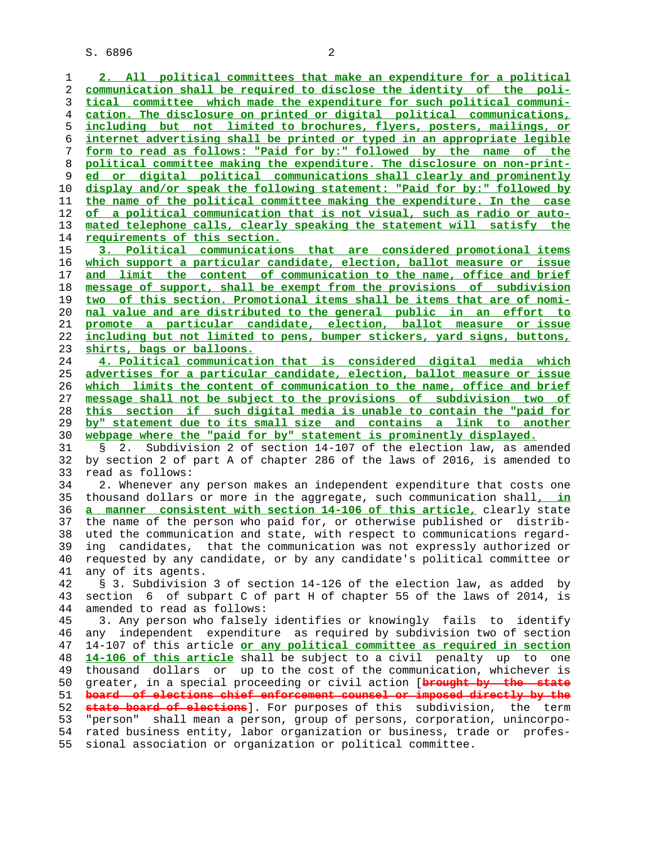S. 6896 2

**2. All political committees that make an expenditure for a political communication shall be required to disclose the identity of the poli- tical committee which made the expenditure for such political communi- cation. The disclosure on printed or digital political communications, including but not limited to brochures, flyers, posters, mailings, or internet advertising shall be printed or typed in an appropriate legible form to read as follows: "Paid for by:" followed by the name of the political committee making the expenditure. The disclosure on non-print- ed or digital political communications shall clearly and prominently display and/or speak the following statement: "Paid for by:" followed by the name of the political committee making the expenditure. In the case of a political communication that is not visual, such as radio or auto- mated telephone calls, clearly speaking the statement will satisfy the requirements of this section. 3. Political communications that are considered promotional items which support a particular candidate, election, ballot measure or issue and limit the content of communication to the name, office and brief message of support, shall be exempt from the provisions of subdivision two of this section. Promotional items shall be items that are of nomi- nal value and are distributed to the general public in an effort to promote a particular candidate, election, ballot measure or issue including but not limited to pens, bumper stickers, yard signs, buttons, shirts, bags or balloons. 4. Political communication that is considered digital media which advertises for a particular candidate, election, ballot measure or issue which limits the content of communication to the name, office and brief message shall not be subject to the provisions of subdivision two of this section if such digital media is unable to contain the "paid for by" statement due to its small size and contains a link to another webpage where the "paid for by" statement is prominently displayed.** 31 § 2. Subdivision 2 of section 14-107 of the election law, as amended 32 by section 2 of part A of chapter 286 of the laws of 2016, is amended to 33 read as follows: 34 2. Whenever any person makes an independent expenditure that costs one 35 thousand dollars or more in the aggregate, such communication shall**, in a manner consistent with section 14-106 of this article,** clearly state 37 the name of the person who paid for, or otherwise published or distrib- 38 uted the communication and state, with respect to communications regard- 39 ing candidates, that the communication was not expressly authorized or 40 requested by any candidate, or by any candidate's political committee or 41 any of its agents. 42 § 3. Subdivision 3 of section 14-126 of the election law, as added by 43 section 6 of subpart C of part H of chapter 55 of the laws of 2014, is 44 amended to read as follows: 45 3. Any person who falsely identifies or knowingly fails to identify 46 any independent expenditure as required by subdivision two of section 47 14-107 of this article **or any political committee as required in section 14-106 of this article** shall be subject to a civil penalty up to one 49 thousand dollars or up to the cost of the communication, whichever is 50 greater, in a special proceeding or civil action [**brought by the state board of elections chief enforcement counsel or imposed directly by the state board of elections**]. For purposes of this subdivision, the term 53 "person" shall mean a person, group of persons, corporation, unincorpo- 54 rated business entity, labor organization or business, trade or profes- 55 sional association or organization or political committee.